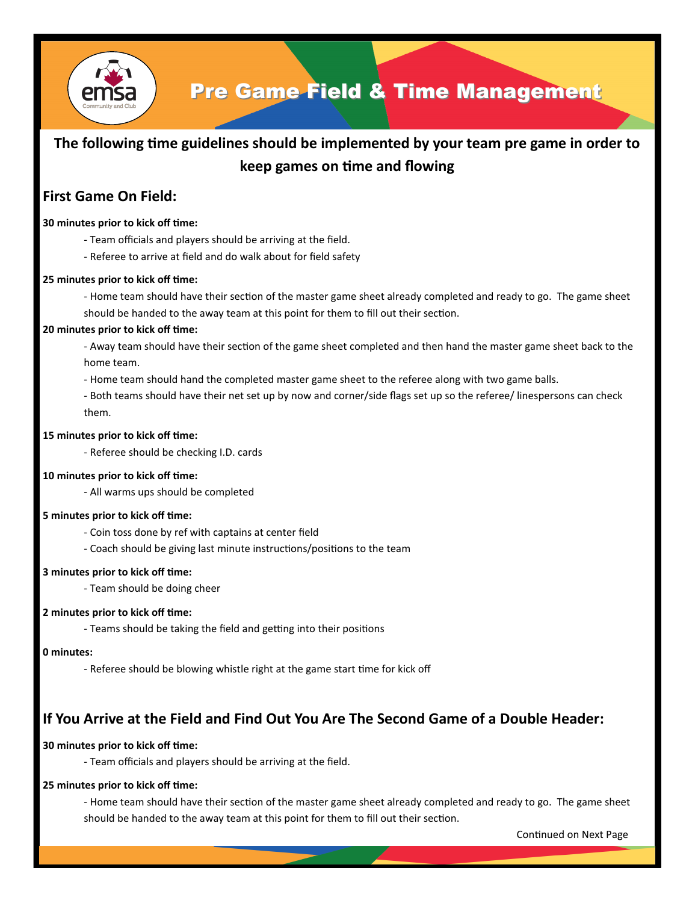

## Pre Game Field & Time Management

## **The following time guidelines should be implemented by your team pre game in order to keep games on time and flowing**

## **First Game On Field:**

## **30 minutes prior to kick off time:**

- Team officials and players should be arriving at the field.
- Referee to arrive at field and do walk about for field safety

## **25 minutes prior to kick off time:**

- Home team should have their section of the master game sheet already completed and ready to go. The game sheet should be handed to the away team at this point for them to fill out their section.

## **20 minutes prior to kick off time:**

- Away team should have their section of the game sheet completed and then hand the master game sheet back to the home team.

- Home team should hand the completed master game sheet to the referee along with two game balls.

- Both teams should have their net set up by now and corner/side flags set up so the referee/ linespersons can check them.

## **15 minutes prior to kick off time:**

- Referee should be checking I.D. cards

## **10 minutes prior to kick off time:**

- All warms ups should be completed

## **5 minutes prior to kick off time:**

- Coin toss done by ref with captains at center field
- Coach should be giving last minute instructions/positions to the team

## **3 minutes prior to kick off time:**

- Team should be doing cheer

## **2 minutes prior to kick off time:**

- Teams should be taking the field and getting into their positions

## **0 minutes:**

- Referee should be blowing whistle right at the game start time for kick off

## **If You Arrive at the Field and Find Out You Are The Second Game of a Double Header:**

## **30 minutes prior to kick off time:**

- Team officials and players should be arriving at the field.

## **25 minutes prior to kick off time:**

- Home team should have their section of the master game sheet already completed and ready to go. The game sheet should be handed to the away team at this point for them to fill out their section.

Continued on Next Page